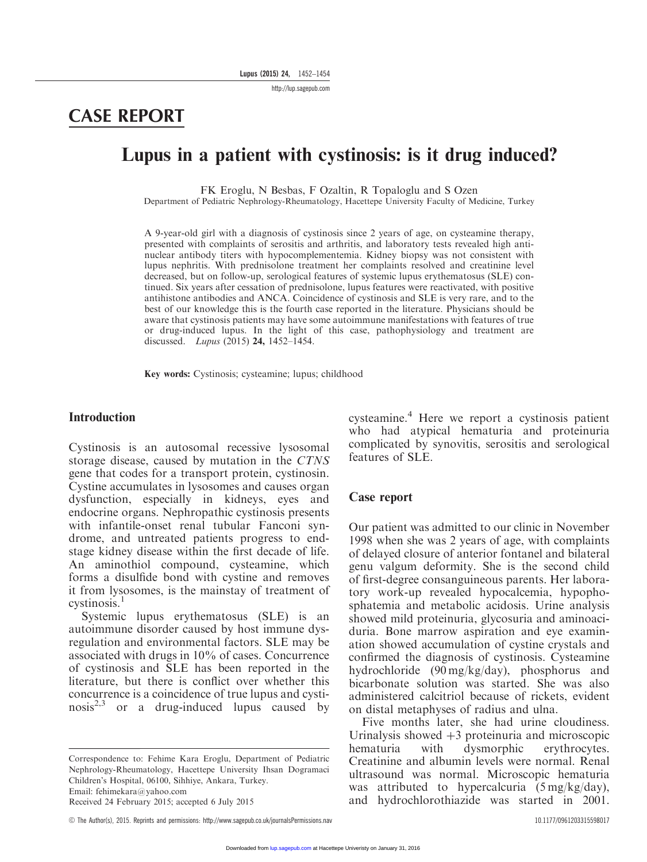http://lup.sagepub.com

# CASE REPORT

## Lupus in a patient with cystinosis: is it drug induced?

FK Eroglu, N Besbas, F Ozaltin, R Topaloglu and S Ozen

Department of Pediatric Nephrology-Rheumatology, Hacettepe University Faculty of Medicine, Turkey

A 9-year-old girl with a diagnosis of cystinosis since 2 years of age, on cysteamine therapy, presented with complaints of serositis and arthritis, and laboratory tests revealed high antinuclear antibody titers with hypocomplementemia. Kidney biopsy was not consistent with lupus nephritis. With prednisolone treatment her complaints resolved and creatinine level decreased, but on follow-up, serological features of systemic lupus erythematosus (SLE) continued. Six years after cessation of prednisolone, lupus features were reactivated, with positive antihistone antibodies and ANCA. Coincidence of cystinosis and SLE is very rare, and to the best of our knowledge this is the fourth case reported in the literature. Physicians should be aware that cystinosis patients may have some autoimmune manifestations with features of true or drug-induced lupus. In the light of this case, pathophysiology and treatment are discussed. Lupus (2015) 24, 1452–1454.

Key words: Cystinosis; cysteamine; lupus; childhood

#### Introduction

Cystinosis is an autosomal recessive lysosomal storage disease, caused by mutation in the CTNS gene that codes for a transport protein, cystinosin. Cystine accumulates in lysosomes and causes organ dysfunction, especially in kidneys, eyes and endocrine organs. Nephropathic cystinosis presents with infantile-onset renal tubular Fanconi syndrome, and untreated patients progress to endstage kidney disease within the first decade of life. An aminothiol compound, cysteamine, which forms a disulfide bond with cystine and removes it from lysosomes, is the mainstay of treatment of  $c$ vstinosis.<sup>1</sup>

Systemic lupus erythematosus (SLE) is an autoimmune disorder caused by host immune dysregulation and environmental factors. SLE may be associated with drugs in 10% of cases. Concurrence of cystinosis and SLE has been reported in the literature, but there is conflict over whether this concurrence is a coincidence of true lupus and cysti- $\arccos<sup>2,3</sup>$  or a drug-induced lupus caused by

Correspondence to: Fehime Kara Eroglu, Department of Pediatric Nephrology-Rheumatology, Hacettepe University Ihsan Dogramaci Children's Hospital, 06100, Sihhiye, Ankara, Turkey. Email: fehimekara@yahoo.com

Received 24 February 2015; accepted 6 July 2015

C The Author(s), 2015. Reprints and permissions: http://www.sagepub.co.uk/journalsPermissions.nav 10.1177/0961203315598017

cysteamine.<sup>4</sup> Here we report a cystinosis patient who had atypical hematuria and proteinuria complicated by synovitis, serositis and serological features of SLE.

#### Case report

Our patient was admitted to our clinic in November 1998 when she was 2 years of age, with complaints of delayed closure of anterior fontanel and bilateral genu valgum deformity. She is the second child of first-degree consanguineous parents. Her laboratory work-up revealed hypocalcemia, hypophosphatemia and metabolic acidosis. Urine analysis showed mild proteinuria, glycosuria and aminoaciduria. Bone marrow aspiration and eye examination showed accumulation of cystine crystals and confirmed the diagnosis of cystinosis. Cysteamine hydrochloride (90 mg/kg/day), phosphorus and bicarbonate solution was started. She was also administered calcitriol because of rickets, evident on distal metaphyses of radius and ulna.

Five months later, she had urine cloudiness. Urinalysis showed  $+3$  proteinuria and microscopic hematuria with dysmorphic erythrocytes. Creatinine and albumin levels were normal. Renal ultrasound was normal. Microscopic hematuria was attributed to hypercalcuria (5 mg/kg/day), and hydrochlorothiazide was started in 2001.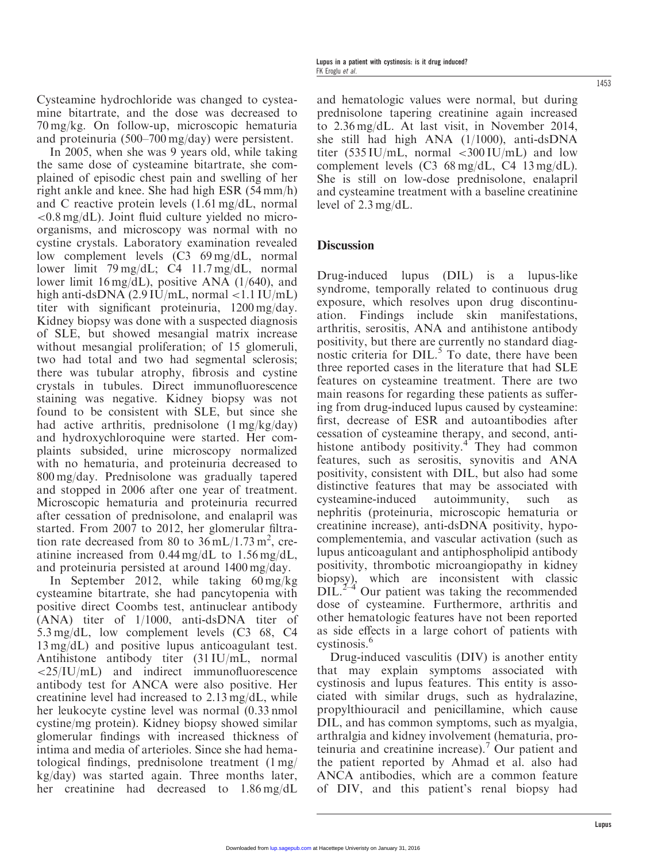Cysteamine hydrochloride was changed to cysteamine bitartrate, and the dose was decreased to 70 mg/kg. On follow-up, microscopic hematuria and proteinuria (500–700 mg/day) were persistent.

In 2005, when she was 9 years old, while taking the same dose of cysteamine bitartrate, she complained of episodic chest pain and swelling of her right ankle and knee. She had high ESR (54 mm/h) and C reactive protein levels (1.61 mg/dL, normal  $\langle 0.8 \text{ mg/dL} \rangle$ . Joint fluid culture yielded no microorganisms, and microscopy was normal with no cystine crystals. Laboratory examination revealed low complement levels (C3 69 mg/dL, normal lower limit 79 mg/dL; C4 11.7 mg/dL, normal lower limit 16 mg/dL), positive ANA (1/640), and high anti-dsDNA  $(2.9 \text{ IU/mL})$ , normal <1.1 IU/mL) titer with significant proteinuria, 1200 mg/day. Kidney biopsy was done with a suspected diagnosis of SLE, but showed mesangial matrix increase without mesangial proliferation; of 15 glomeruli, two had total and two had segmental sclerosis; there was tubular atrophy, fibrosis and cystine crystals in tubules. Direct immunofluorescence staining was negative. Kidney biopsy was not found to be consistent with SLE, but since she had active arthritis, prednisolone (1 mg/kg/day) and hydroxychloroquine were started. Her complaints subsided, urine microscopy normalized with no hematuria, and proteinuria decreased to 800 mg/day. Prednisolone was gradually tapered and stopped in 2006 after one year of treatment. Microscopic hematuria and proteinuria recurred after cessation of prednisolone, and enalapril was started. From 2007 to 2012, her glomerular filtration rate decreased from 80 to  $36 \text{ mL}/1.73 \text{ m}^2$ , creatinine increased from 0.44 mg/dL to 1.56 mg/dL, and proteinuria persisted at around 1400 mg/day.

In September 2012, while taking 60 mg/kg cysteamine bitartrate, she had pancytopenia with positive direct Coombs test, antinuclear antibody (ANA) titer of 1/1000, anti-dsDNA titer of 5.3 mg/dL, low complement levels (C3 68, C4 13 mg/dL) and positive lupus anticoagulant test. Antihistone antibody titer (31 IU/mL, normal <25/IU/mL) and indirect immunofluorescence antibody test for ANCA were also positive. Her creatinine level had increased to 2.13 mg/dL, while her leukocyte cystine level was normal (0.33 nmol cystine/mg protein). Kidney biopsy showed similar glomerular findings with increased thickness of intima and media of arterioles. Since she had hematological findings, prednisolone treatment (1 mg/ kg/day) was started again. Three months later, her creatinine had decreased to 1.86 mg/dL

and hematologic values were normal, but during prednisolone tapering creatinine again increased to 2.36 mg/dL. At last visit, in November 2014, she still had high ANA (1/1000), anti-dsDNA titer  $(535 \text{ IU/mL}, \text{normal } < 300 \text{ IU/mL})$  and low complement levels (C3 68 mg/dL, C4 13 mg/dL). She is still on low-dose prednisolone, enalapril and cysteamine treatment with a baseline creatinine level of 2.3 mg/dL.

#### **Discussion**

Drug-induced lupus (DIL) is a lupus-like syndrome, temporally related to continuous drug exposure, which resolves upon drug discontinuation. Findings include skin manifestations, arthritis, serositis, ANA and antihistone antibody positivity, but there are currently no standard diagnostic criteria for DIL.<sup>5</sup> To date, there have been three reported cases in the literature that had SLE features on cysteamine treatment. There are two main reasons for regarding these patients as suffering from drug-induced lupus caused by cysteamine: first, decrease of ESR and autoantibodies after cessation of cysteamine therapy, and second, antihistone antibody positivity.<sup>4</sup> They had common features, such as serositis, synovitis and ANA positivity, consistent with DIL, but also had some distinctive features that may be associated with cysteamine-induced autoimmunity, such as nephritis (proteinuria, microscopic hematuria or creatinine increase), anti-dsDNA positivity, hypocomplementemia, and vascular activation (such as lupus anticoagulant and antiphospholipid antibody positivity, thrombotic microangiopathy in kidney biopsy), which are inconsistent with classic  $DIL<sup>2–4</sup>$  Our patient was taking the recommended dose of cysteamine. Furthermore, arthritis and other hematologic features have not been reported as side effects in a large cohort of patients with cystinosis.<sup>6</sup>

Drug-induced vasculitis (DIV) is another entity that may explain symptoms associated with cystinosis and lupus features. This entity is associated with similar drugs, such as hydralazine, propylthiouracil and penicillamine, which cause DIL, and has common symptoms, such as myalgia, arthralgia and kidney involvement (hematuria, proteinuria and creatinine increase).<sup>7</sup> Our patient and the patient reported by Ahmad et al. also had ANCA antibodies, which are a common feature of DIV, and this patient's renal biopsy had